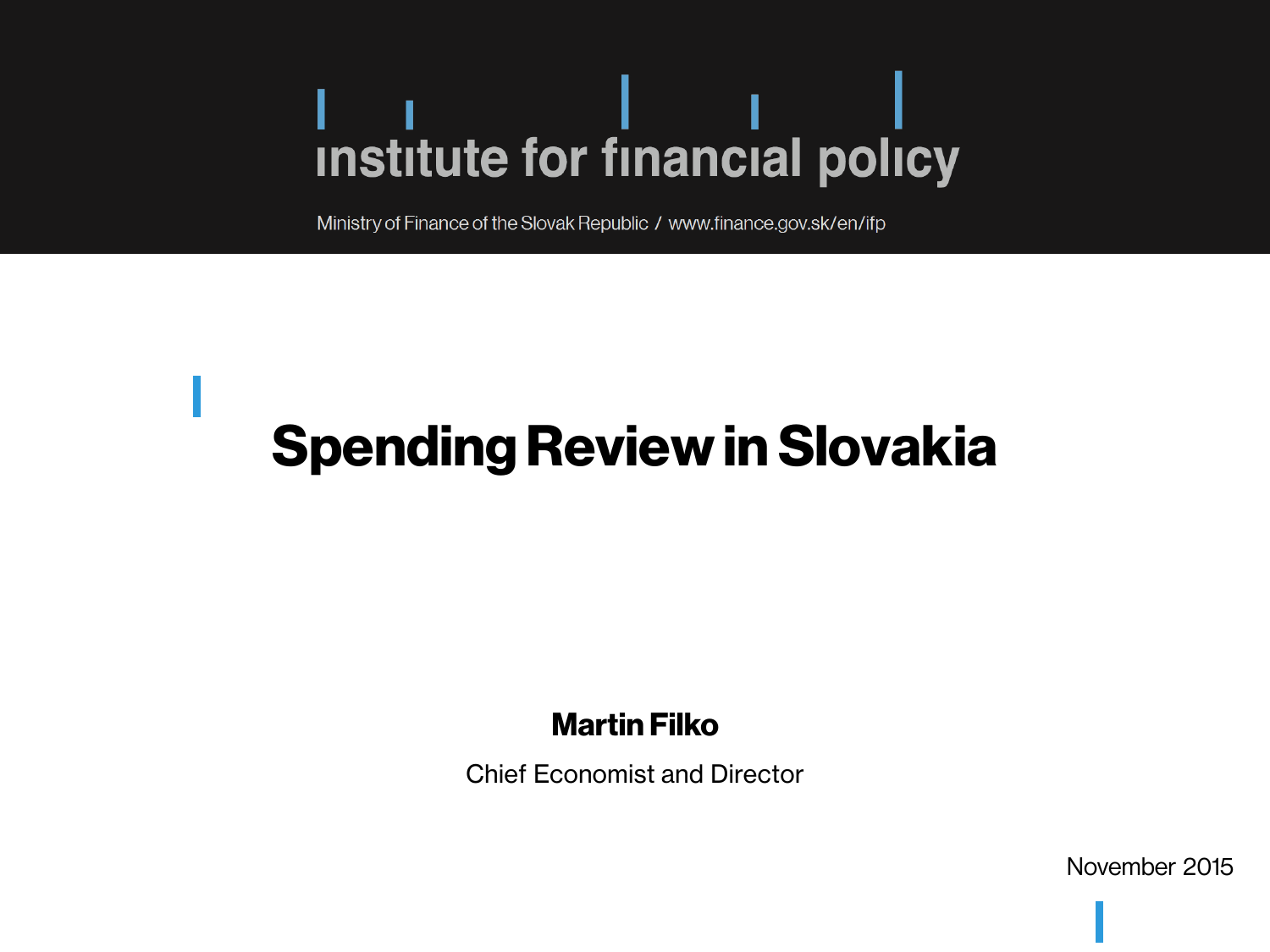Ministry of Finance of the Slovak Republic / www.finance.gov.sk/en/ifp

### **Spending Review in Slovakia**

#### Martin Filko

Chief Economist and Director

November 2015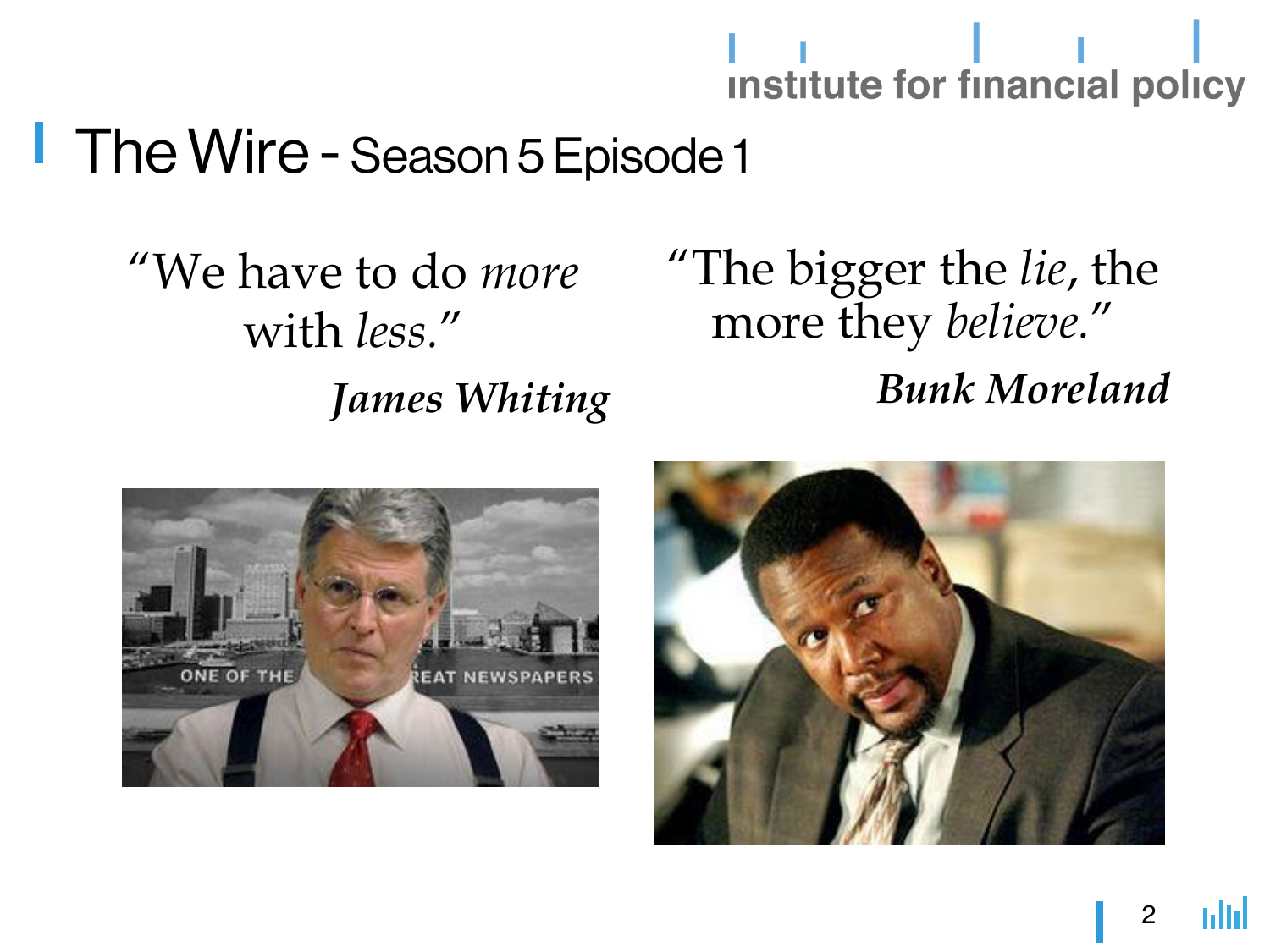### **The Wire - Season 5 Episode 1**

"We have to do *more* with *less.*" *James Whiting*

### "The bigger the *lie*, the more they *believe.*" *Bunk Moreland*



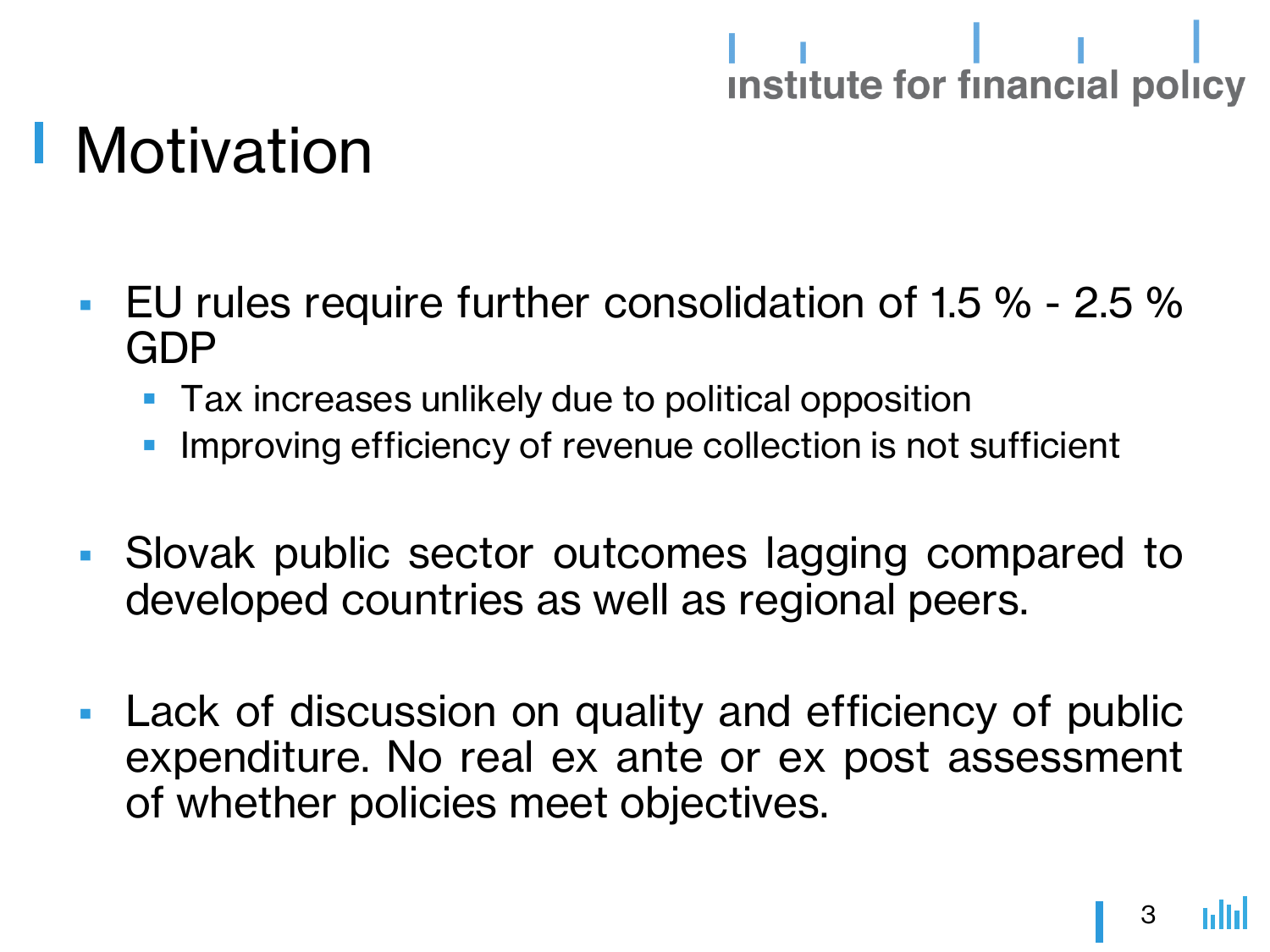### Motivation

- **EU** rules require further consolidation of 1.5 % 2.5 % GDP
	- Tax increases unlikely due to political opposition
	- **IMPROVING EFFICIENCY OF REVERTS COLLECTION IS NOT SUFFICIENT**
- Slovak public sector outcomes lagging compared to developed countries as well as regional peers.
- **Lack of discussion on quality and efficiency of public** expenditure. No real ex ante or ex post assessment of whether policies meet objectives.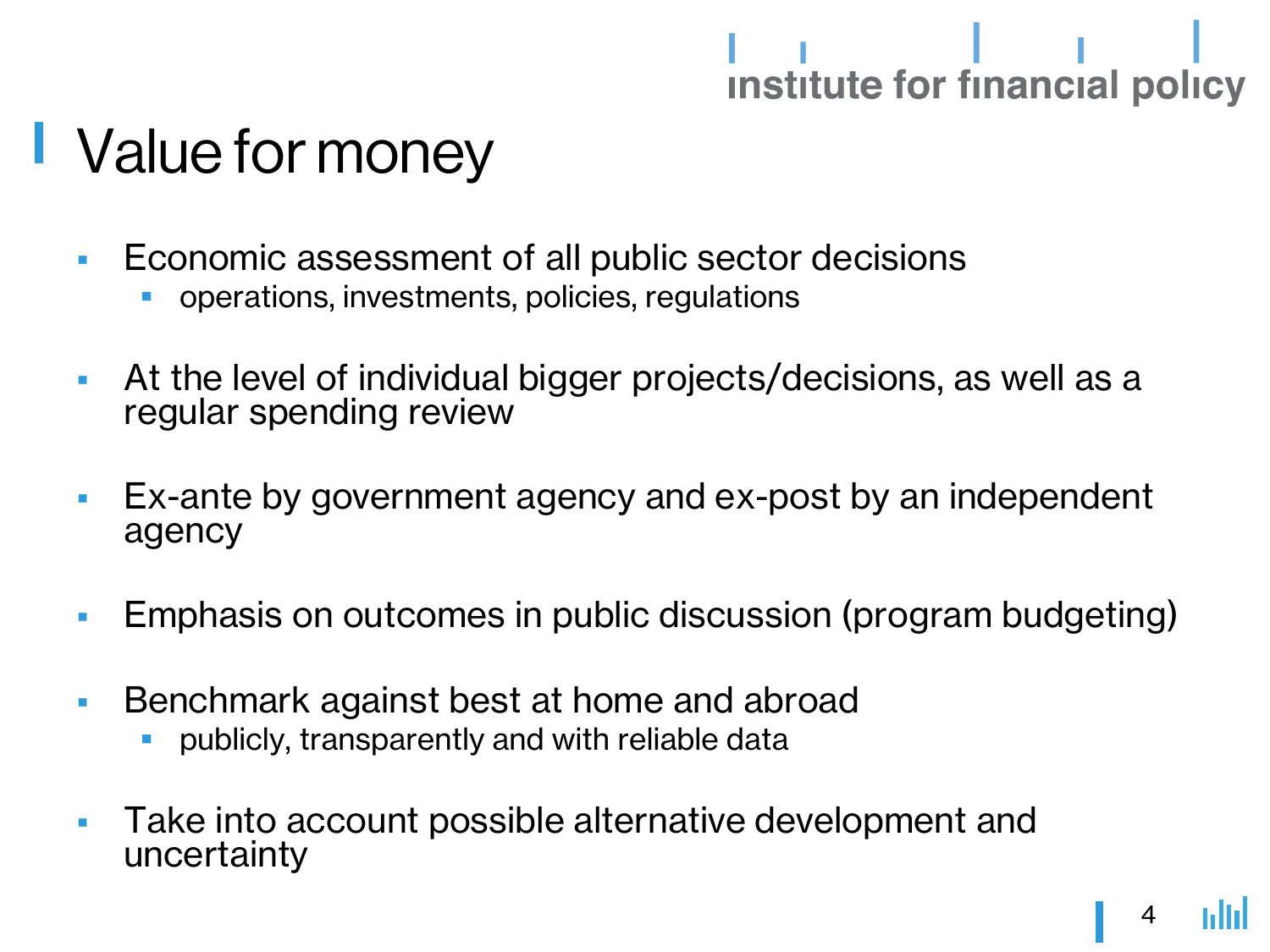# 

### **Value for money**

- **Economic assessment of all public sector decisions** 
	- operations, investments, policies, regulations
- At the level of individual bigger projects/decisions, as well as a regular spending review
- **Ex-ante by government agency and ex-post by an independent** agency
- **Emphasis on outcomes in public discussion (program budgeting)**
- **Benchmark against best at home and abroad** 
	- publicly, transparently and with reliable data
- **Take into account possible alternative development and** uncertainty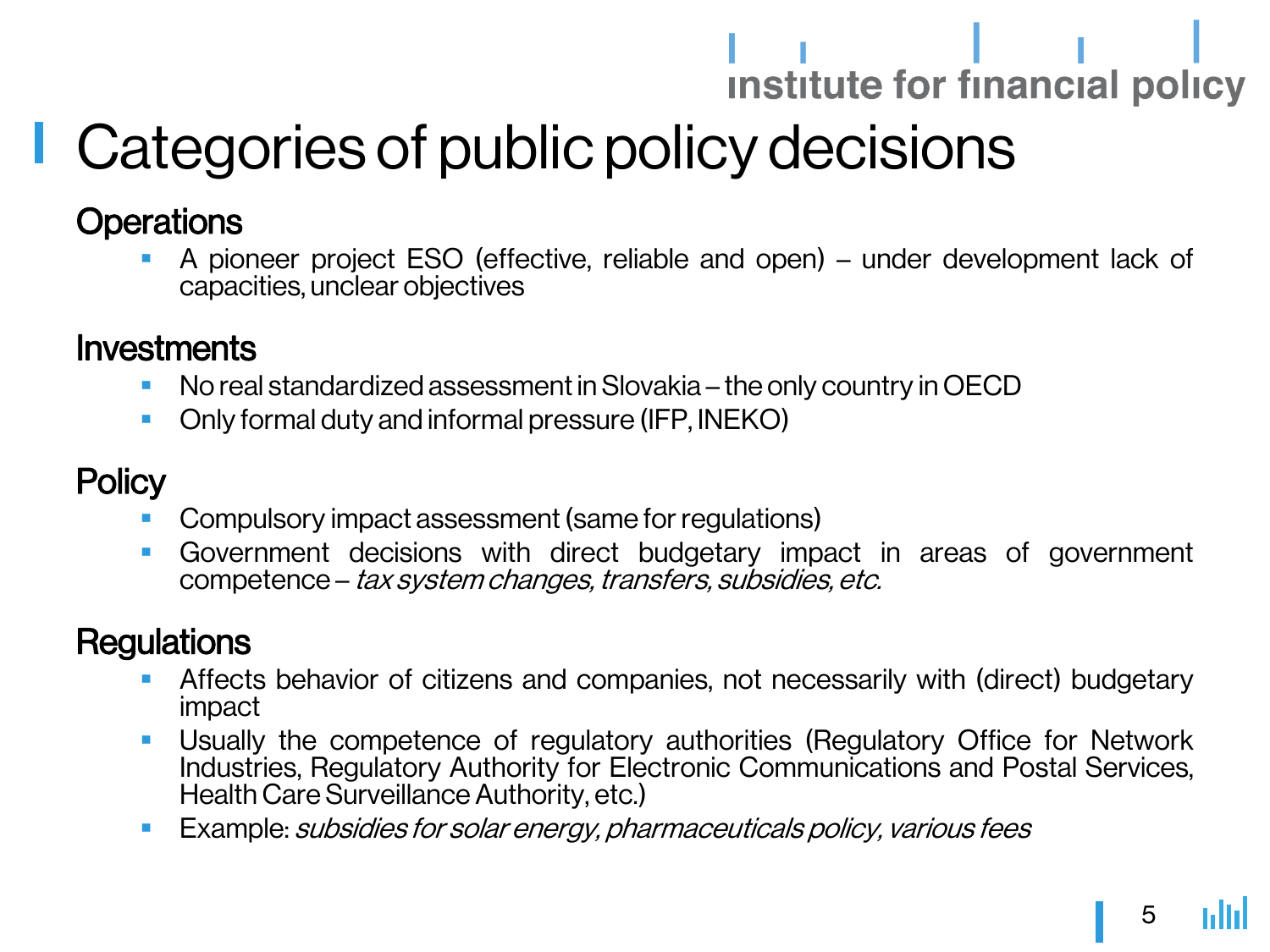### Categories of public policy decisions

#### **Operations**

 A pioneer project ESO (effective, reliable and open) – under development lack of capacities, unclear objectives

#### **Investments**

- **No real standardized assessment in Slovakia the only country in OECD**
- Only formal duty and informal pressure (IFP, INEKO)

#### **Policy**

- Compulsory impact assessment (same for regulations)
- Government decisions with direct budgetary impact in areas of government competence – tax systemchanges, transfers, subsidies, etc.

#### **Regulations**

- Affects behavior of citizens and companies, not necessarily with (direct) budgetary impact
- Usually the competence of regulatory authorities (Regulatory Office for Network Industries, Regulatory Authority for Electronic Communications and Postal Services, Health Care Surveillance Authority, etc.)
- **Example: subsidies for solar energy, pharmaceuticals policy, various fees**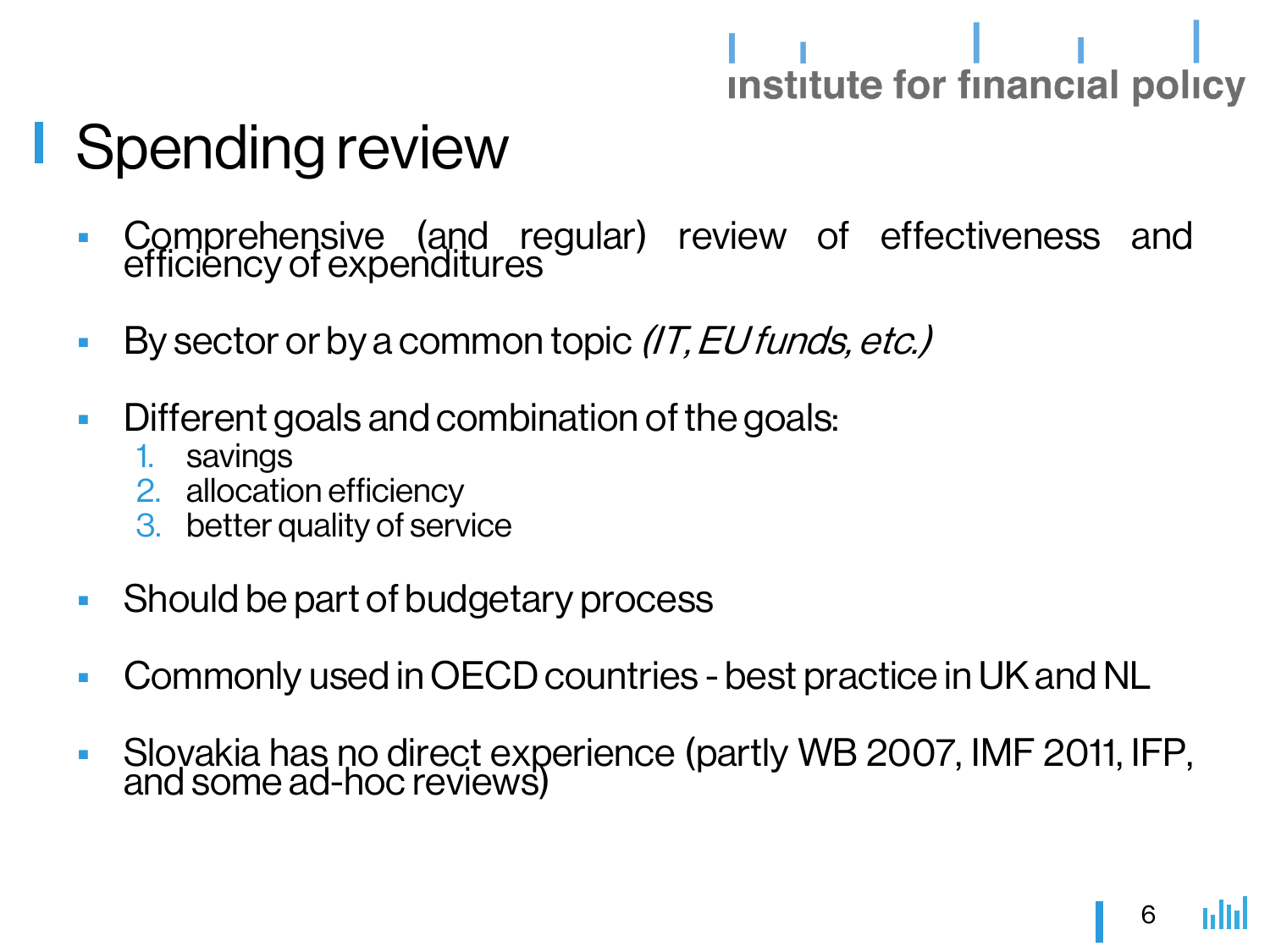### Spending review

- Comprehensive (and regular) review of effectiveness and efficiency of expenditures
- By sector or by a common topic  $(T, EU \, funds, etc.)$
- Different goals and combination of the goals:
	- 1. savings
	- 2. allocation efficiency
	- 3. better quality of service
- **Should be part of budgetary process**
- Commonly used in OECD countries best practice in UK and NL
- Slovakia has no direct experience (partly WB 2007, IMF 2011, IFP, and some ad-hoc reviews)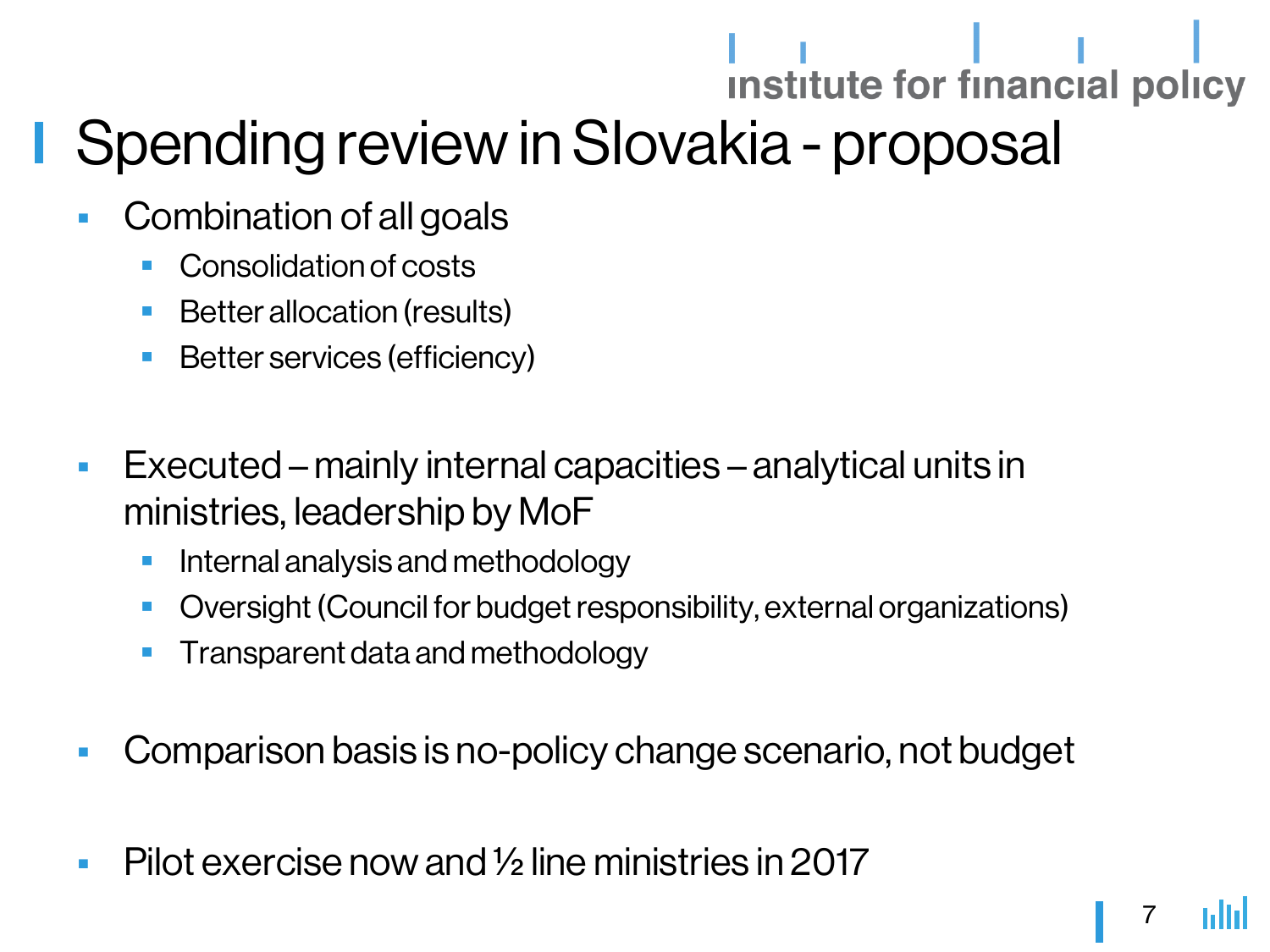### institute for financial policy Spending review in Slovakia - proposal

- Combination of all goals
	- Consolidation of costs
	- Better allocation (results)
	- **Better services (efficiency)**
- Executed mainly internal capacities analytical units in ministries, leadership by MoF
	- **Internal analysis and methodology**
	- Oversight (Council for budget responsibility, external organizations)
	- Transparent data and methodology
- Comparison basis is no-policy change scenario, not budget
- Pilot exercise now and  $\frac{1}{2}$  line ministries in 2017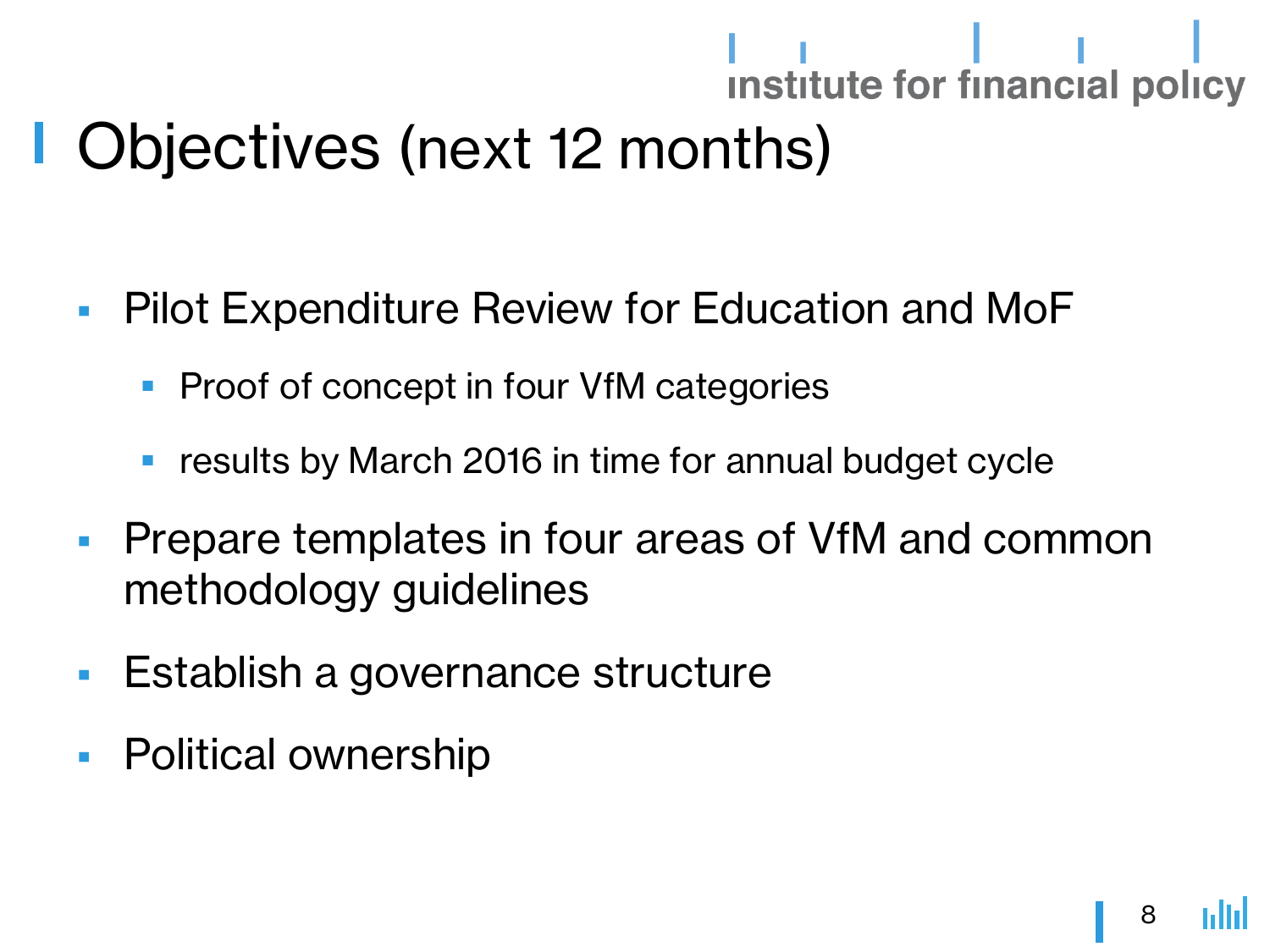### Objectives (next 12 months)

- **Pilot Expenditure Review for Education and MoF** 
	- **Proof of concept in four VfM categories**
	- results by March 2016 in time for annual budget cycle
- **Prepare templates in four areas of VfM and common** methodology guidelines
- **Establish a governance structure**
- **Political ownership**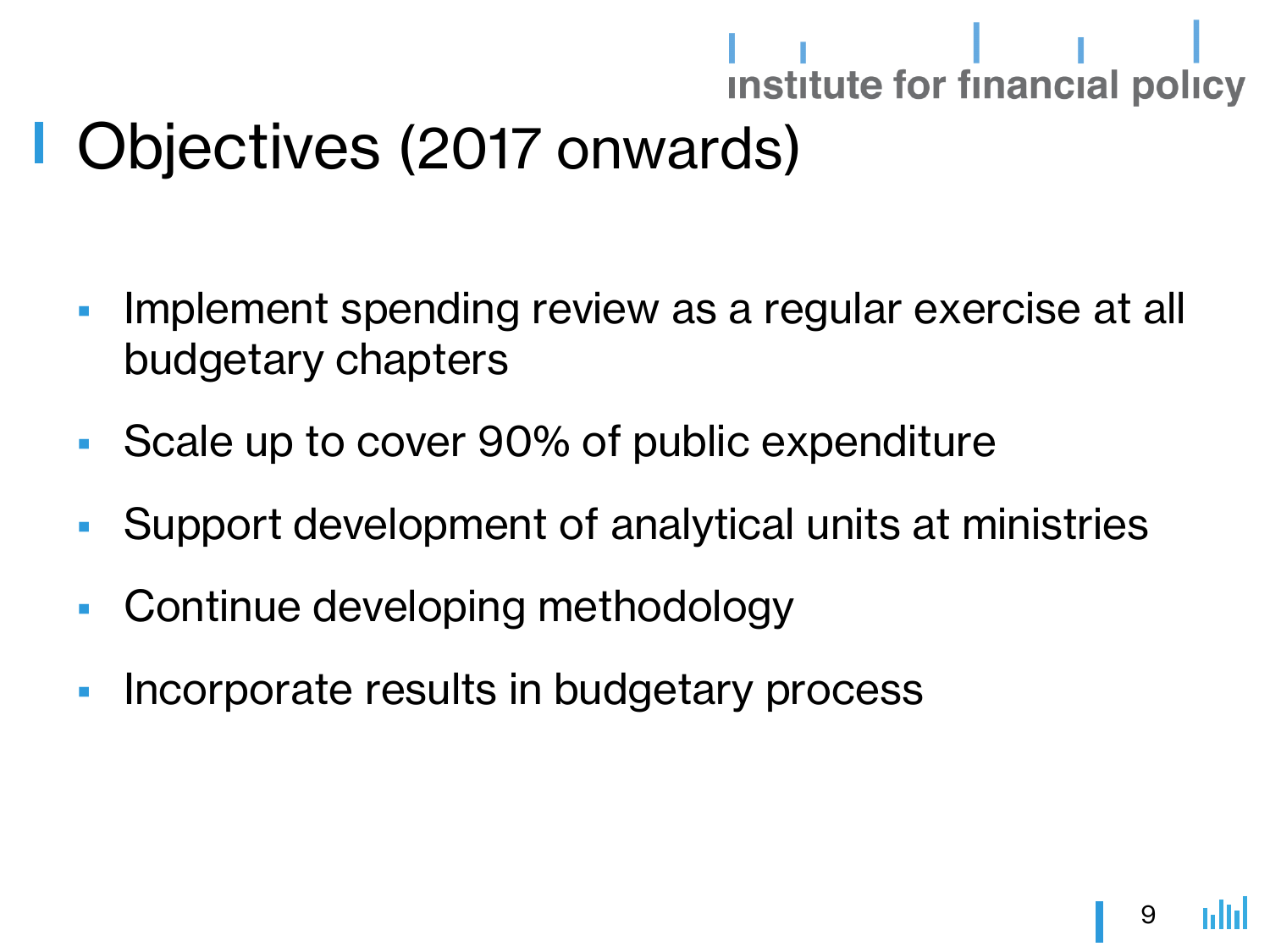### Objectives (2017 onwards)

- **Implement spending review as a regular exercise at all** budgetary chapters
- Scale up to cover 90% of public expenditure
- Support development of analytical units at ministries
- Continue developing methodology
- **Incorporate results in budgetary process**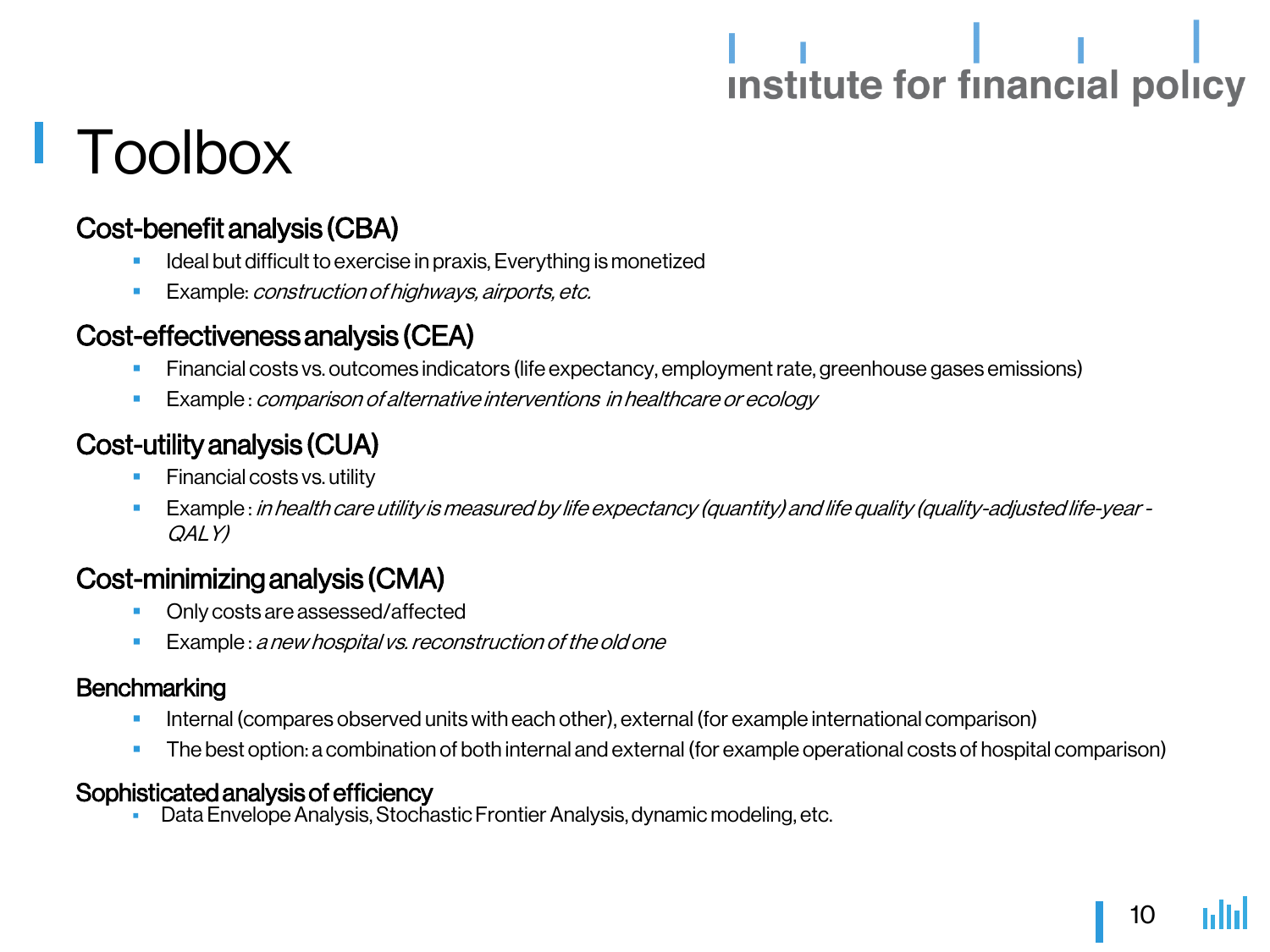# 

### Toolbox

#### Cost-benefit analysis (CBA)

- Ideal but difficult to exercise in praxis, Everything is monetized
- Example: construction of highways, airports, etc.

#### Cost-effectiveness analysis (CEA)

- Financial costs vs. outcomes indicators (life expectancy, employment rate, greenhouse gases emissions)
- Example : comparison of alternative interventions in healthcare or ecology

#### Cost-utility analysis (CUA)

- Financial costs vs. utility
- Example : in health care utility is measured by life expectancy (quantity) and life quality (quality-adjusted life-year QALY)

#### Cost-minimizing analysis (CMA)

- Only costs are assessed/affected
- Example : a new hospital vs. reconstruction of the old one

#### **Benchmarking**

- Internal (compares observed units with each other), external (for example international comparison)
- The best option: a combination of both internal and external (for example operational costs of hospital comparison)

#### Sophisticated analysis of efficiency

Data Envelope Analysis, Stochastic Frontier Analysis, dynamic modeling, etc.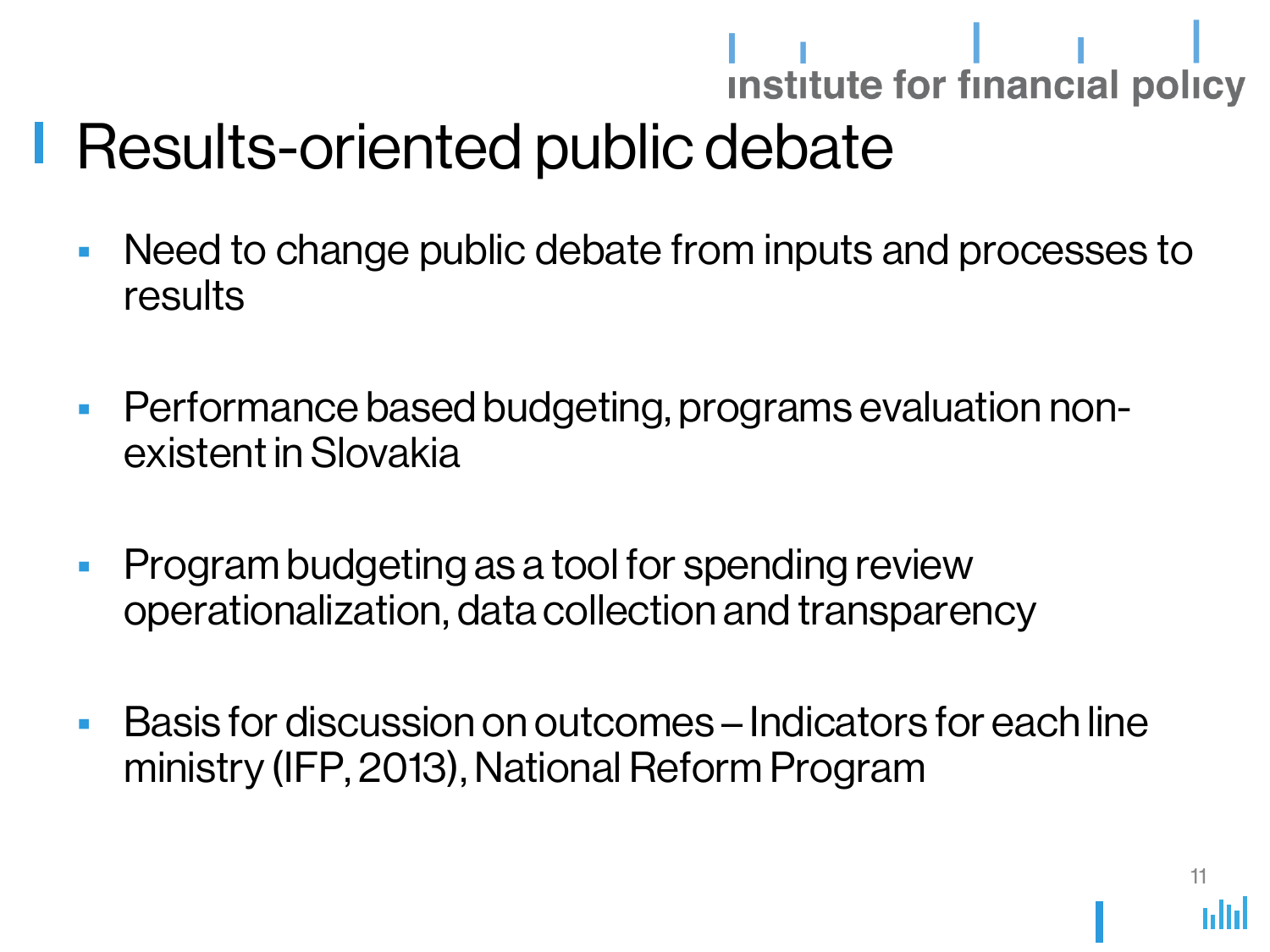## Results-oriented public debate

- Need to change public debate from inputs and processes to results
- Performance based budgeting, programs evaluation nonexistent in Slovakia
- **Program budgeting as a tool for spending review** operationalization, data collection and transparency
- Basis for discussion on outcomes Indicators for each line ministry (IFP, 2013), National Reform Program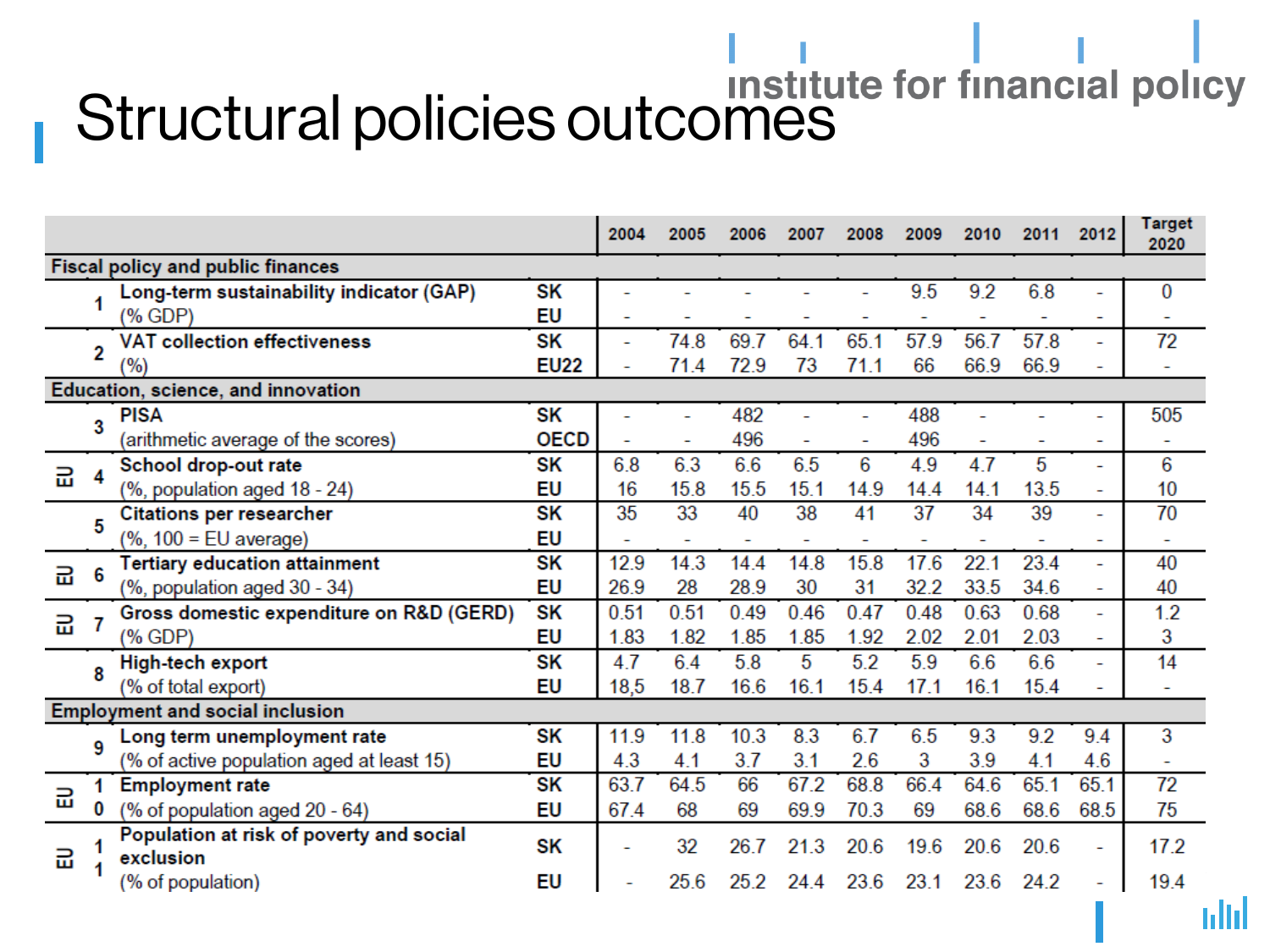# Structural policies outcomes

|                                        |   |                                                       |             | 2004 | 2005           | 2006 | 2007           | 2008 | 2009 | 2010 | 2011 | 2012           | <b>Target</b><br>2020    |
|----------------------------------------|---|-------------------------------------------------------|-------------|------|----------------|------|----------------|------|------|------|------|----------------|--------------------------|
|                                        |   | Fiscal policy and public finances                     |             |      |                |      |                |      |      |      |      |                |                          |
|                                        |   | Long-term sustainability indicator (GAP)              | SΚ          | ۰    |                |      |                |      | 9.5  | 9.2  | 6.8  |                | 0                        |
|                                        |   | (% GDP)                                               | EU          | -    |                |      |                |      |      |      |      | ۰              |                          |
|                                        | 2 | <b>VAT collection effectiveness</b>                   | SΚ          |      | 74.8           | 69.7 | 64.1           | 65.1 | 57.9 | 56.7 | 57.8 | $\overline{a}$ | 72                       |
|                                        |   | '%)                                                   | <b>EU22</b> |      | 71.4           | 72.9 | 73             | 71.1 | 66   | 66.9 | 66.9 | ۰              |                          |
| Education, science, and innovation     |   |                                                       |             |      |                |      |                |      |      |      |      |                |                          |
|                                        | 3 | <b>PISA</b>                                           | SK          |      |                | 482  |                |      | 488  |      |      |                | 505                      |
|                                        |   | (arithmetic average of the scores)                    | <b>OECD</b> |      |                | 496  |                |      | 496  |      |      |                |                          |
| 긆                                      | 4 | School drop-out rate                                  | SΚ          | 6.8  | 6.3            | 6.6  | 6.5            | 6    | 4.9  | 4.7  | 5    | ÷.             | 6                        |
|                                        |   | (%, population aged 18 - 24)                          | EU          | 16   | 15.8           | 15.5 | 15.1           | 14.9 | 14.4 | 14.1 | 13.5 |                | 10                       |
|                                        | 5 | <b>Citations per researcher</b>                       | SΚ          | 35   | 33             | 40   | 38             | 41   | 37   | 34   | 39   |                | 70                       |
|                                        |   | $%$ , 100 = EU average)                               | EU          |      | $\overline{a}$ | ۳    | $\overline{a}$ |      |      |      |      |                | $\overline{a}$           |
| 긆                                      | 6 | <b>Tertiary education attainment</b>                  | SΚ          | 12.9 | 14.3           | 14.4 | 14.8           | 15.8 | 17.6 | 22.1 | 23.4 | ÷              | 40                       |
|                                        |   | (%, population aged 30 - 34)                          | EU          | 26.9 | 28             | 28.9 | 30             | 31   | 32.2 | 33.5 | 34.6 |                | 40                       |
| 긆                                      |   | Gross domestic expenditure on R&D (GERD)              | SK          | 0.51 | 0.51           | 0.49 | 0.46           | 0.47 | 0.48 | 0.63 | 0.68 | ÷              | 1.2                      |
|                                        |   | (% GDP)                                               | EU          | 1.83 | 1.82           | 1.85 | 1.85           | 1.92 | 2.02 | 2.01 | 2.03 | ÷              | 3                        |
|                                        | 8 | High-tech export                                      | SK          | 4.7  | 6.4            | 5.8  | 5              | 5.2  | 5.9  | 6.6  | 6.6  | ۰              | 14                       |
|                                        |   | (% of total export)                                   | EU          | 18,5 | 18.7           | 16.6 | 16.1           | 15.4 | 17.1 | 16.1 | 15.4 | ۰              |                          |
| <b>Employment and social inclusion</b> |   |                                                       |             |      |                |      |                |      |      |      |      |                |                          |
|                                        | 9 | Long term unemployment rate                           | SΚ          | 11.9 | 11.8           | 10.3 | 8.3            | 6.7  | 6.5  | 9.3  | 9.2  | 9.4            | 3                        |
|                                        |   | (% of active population aged at least 15)             | EU          | 4.3  | 4.1            | 3.7  | 3.1            | 2.6  | 3    | 3.9  | 4.1  | 4.6            | $\overline{\phantom{a}}$ |
| 긆                                      | 1 | <b>Employment rate</b>                                | SΚ          | 63.7 | 64.5           | 66   | 67.2           | 68.8 | 66.4 | 64.6 | 65.1 | 65.1           | 72                       |
|                                        | 0 | (% of population aged 20 - 64)                        | EU          | 67.4 | 68             | 69   | 69.9           | 70.3 | 69   | 68.6 | 68.6 | 68.5           | 75                       |
| 긆                                      |   | Population at risk of poverty and social<br>exclusion | SK          |      | 32             | 26.7 | 21.3           | 20.6 | 19.6 | 20.6 | 20.6 | ÷              | 17.2                     |
|                                        |   | (% of population)                                     | EU          |      | 25.6           | 25.2 | 24.4           | 23.6 | 23.1 | 23.6 | 24.2 |                | 19.4                     |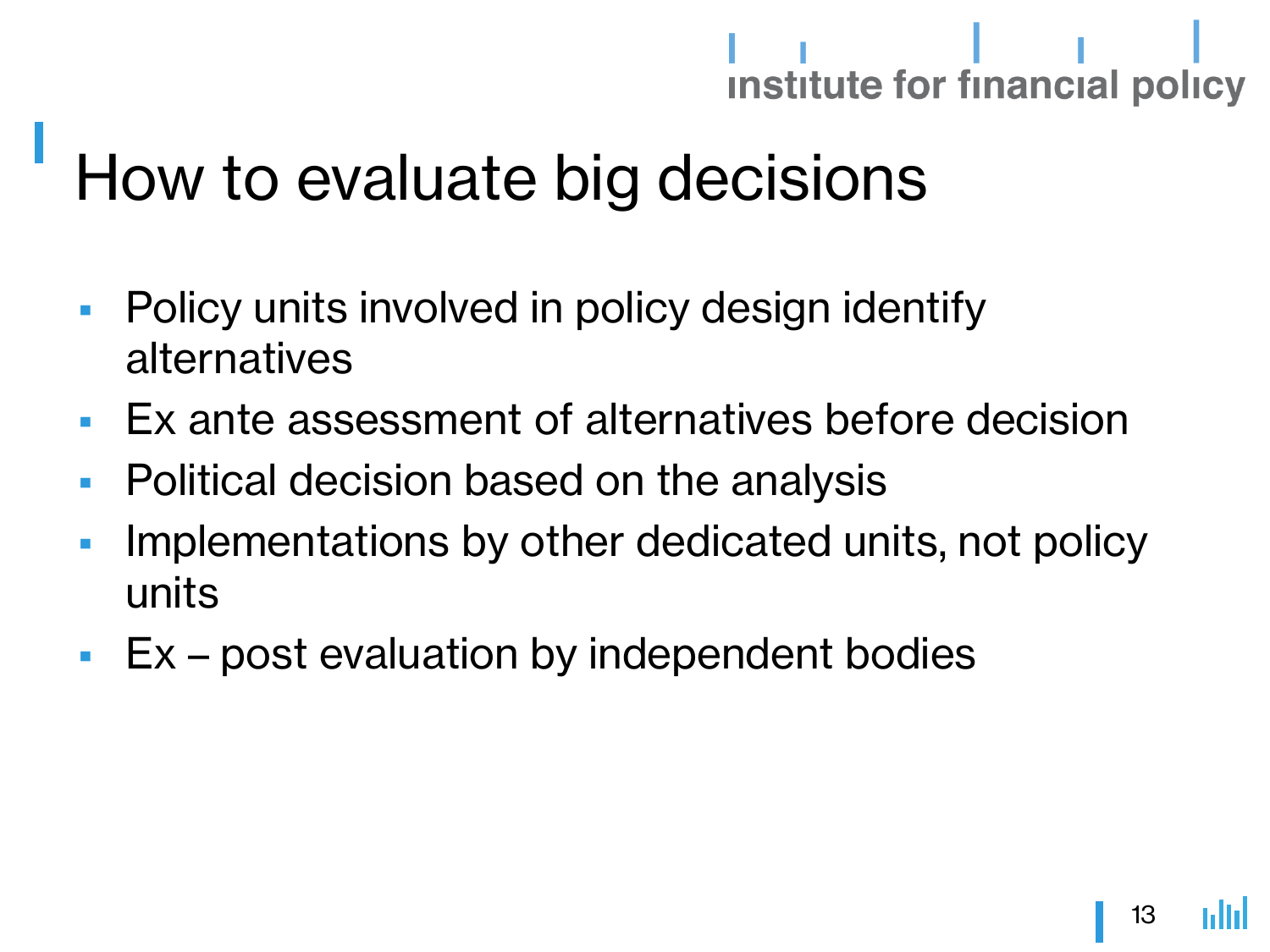### How to evaluate big decisions

- **Policy units involved in policy design identify** alternatives
- Ex ante assessment of alternatives before decision
- **Political decision based on the analysis**
- **Implementations by other dedicated units, not policy** units
- **Ex** post evaluation by independent bodies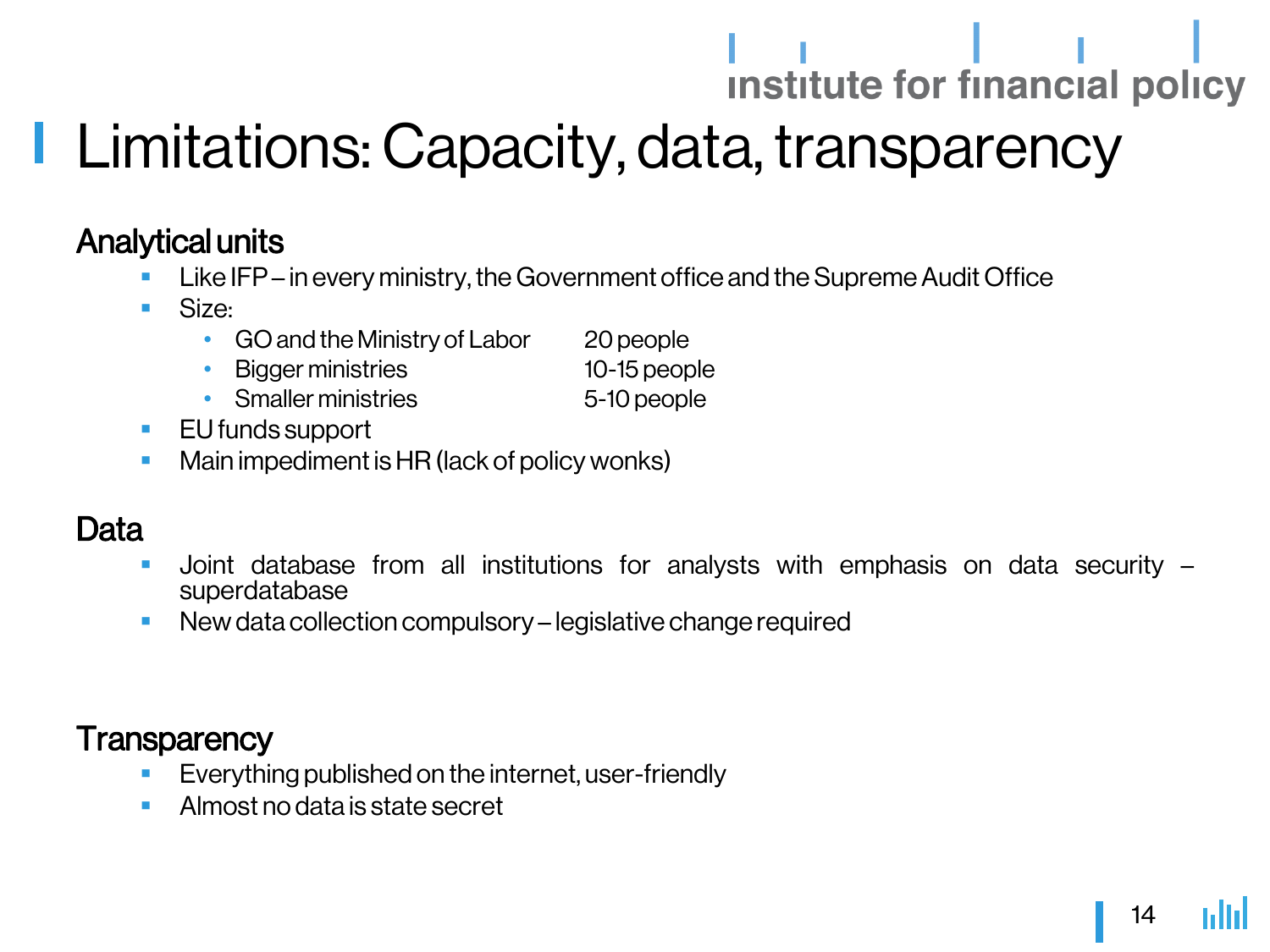### **Limitations: Capacity, data, transparency**

#### Analytical units

- Like IFP in every ministry, the Government office and the Supreme Audit Office
- Size:
	- GO and the Ministry of Labor 20 people
	- Biggerministries 10-15 people
	- Smallerministries 5-10 people
- **EU** funds support
- Main impediment is HR (lack of policy wonks)

#### Data

- Joint database from all institutions for analysts with emphasis on data security superdatabase
- **New data collection compulsory legislative change required**

#### **Transparency**

- Everything published on the internet, user-friendly
- **Almost no data is state secret**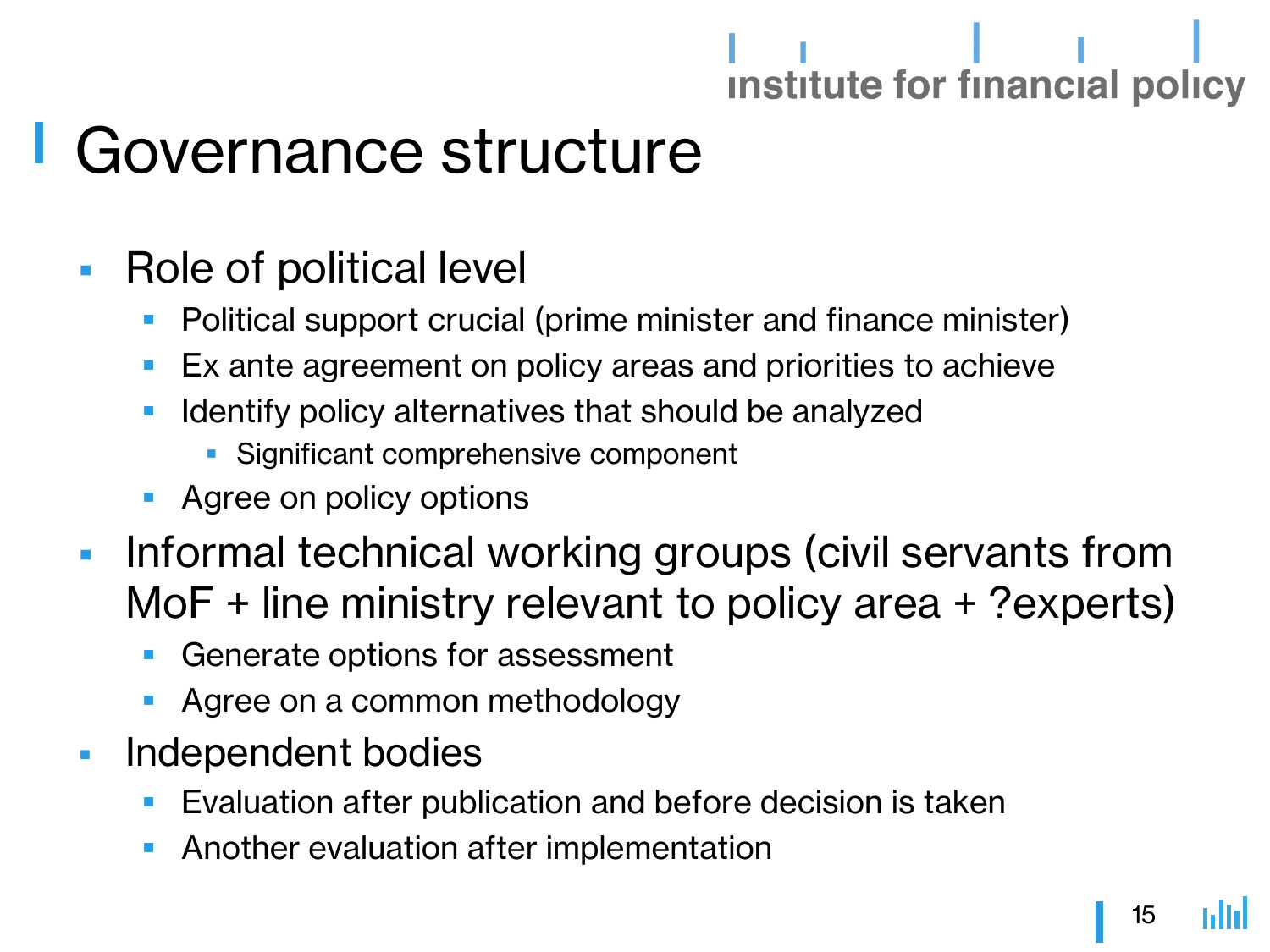### Governance structure

- Role of political level
	- Political support crucial (prime minister and finance minister)
	- Ex ante agreement on policy areas and priorities to achieve
	- Identify policy alternatives that should be analyzed
		- **Significant comprehensive component**
	- Agree on policy options
- **Informal technical working groups (civil servants from** MoF + line ministry relevant to policy area + ?experts)
	- Generate options for assessment
	- Agree on a common methodology
- **Independent bodies** 
	- **Evaluation after publication and before decision is taken**
	- Another evaluation after implementation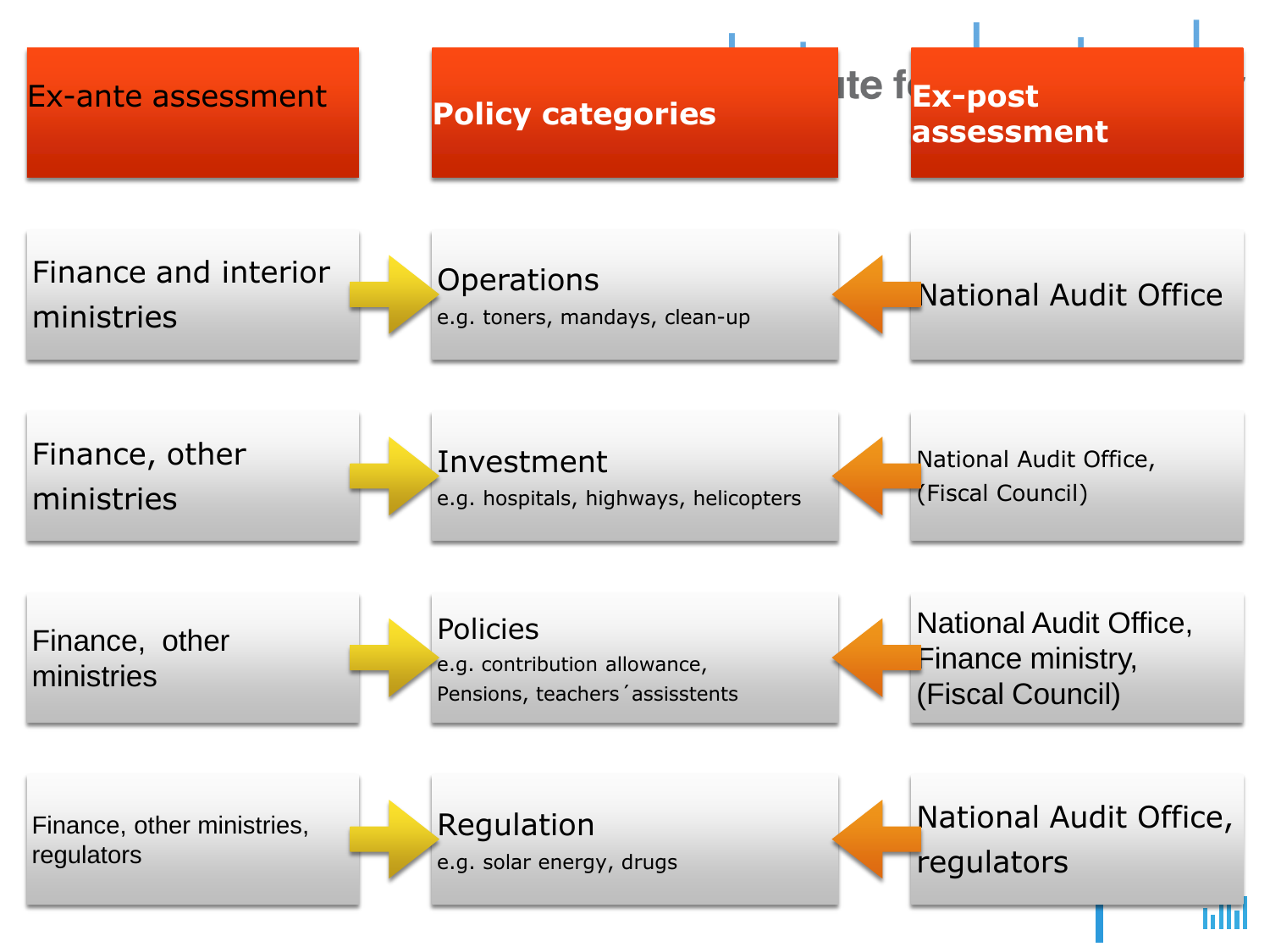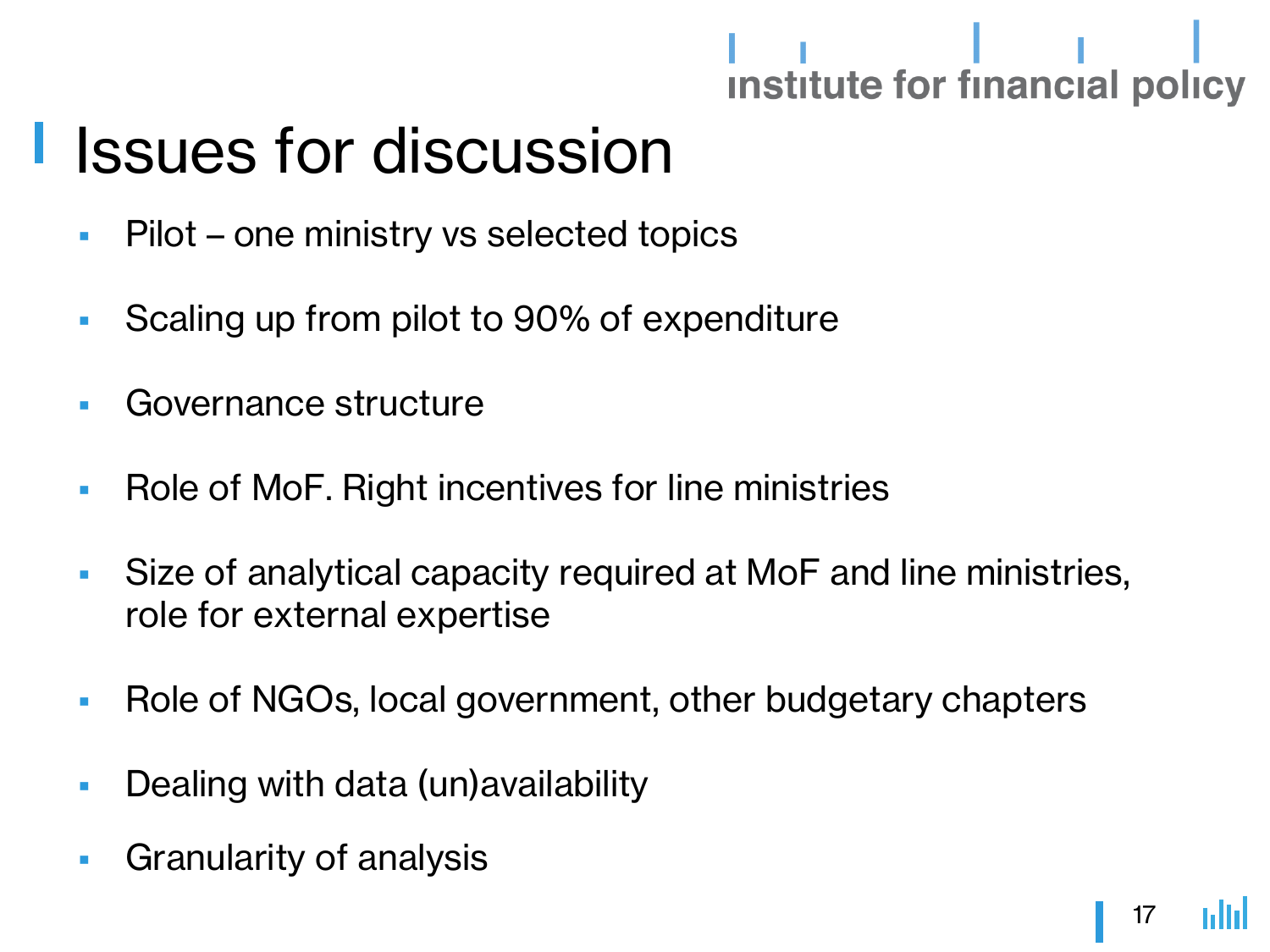### Issues for discussion

- **Pilot one ministry vs selected topics**
- Scaling up from pilot to 90% of expenditure
- **Governance structure**
- **Role of MoF. Right incentives for line ministries**
- Size of analytical capacity required at MoF and line ministries, role for external expertise
- Role of NGOs, local government, other budgetary chapters
- **Dealing with data (un) availability**
- Granularity of analysis